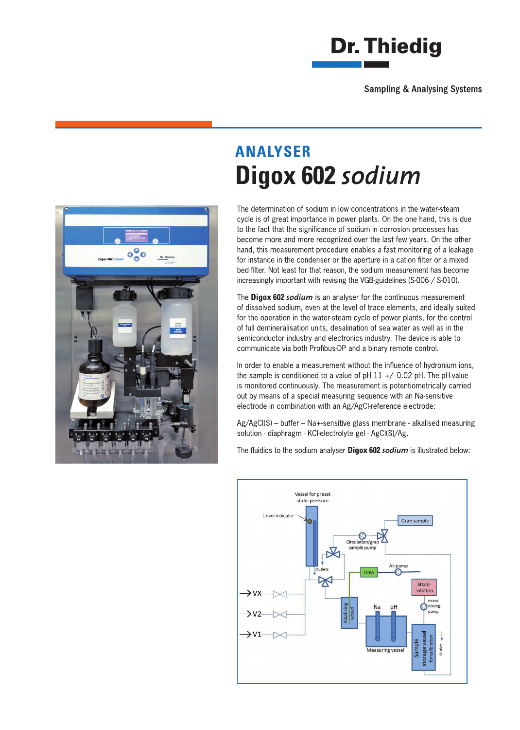



## **ANALYSER** Digox 602 sodium

The determination of sodium in low concentrations in the water-steam cycle is of great importance in power plants. On the one hand, this is due to the fact that the significance of sodium in corrosion processes has become more and more recognized over the last few years. On the other hand, this measurement procedure enables a fast monitoring of a leakage for instance in the condenser or the aperture in a cation filter or a mixed bed filter. Not least for that reason, the sodium measurement has become increasingly important with revising the VGB-guidelines (S-006 / S-010).

The Digox 602 sodium is an analyser for the continuous measurement of dissolved sodium, even at the level of trace elements, and ideally suited for the operation in the water-steam cycle of power plants, for the control of full demineralisation units, desalination of sea water as well as in the semiconductor industry and electronics industry. The device is able to communicate via both Profibus-DP and a binary remote control.

In order to enable a measurement without the influence of hydronium ions. the sample is conditioned to a value of pH  $11 +/- 0.02$  pH. The pH-value is monitored continuously. The measurement is potentiometrically carried out by means of a special measuring sequence with an Na-sensitive electrode in combination with an Ag/AgCI-reference electrode:

Ag/AgCl(S) - buffer - Na+-sensitive glass membrane - alkalised measuring solution - diaphragm - KCI-electrolyte gel - AgCI(S)/Ag.

The fluidics to the sodium analyser Digox 602 sodium is illustrated below: